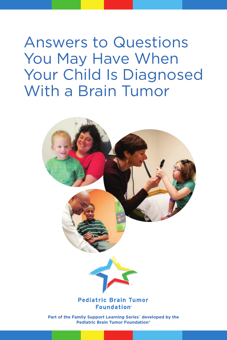Answers to Questions You May Have When Your Child Is Diagnosed With a Brain Tumor

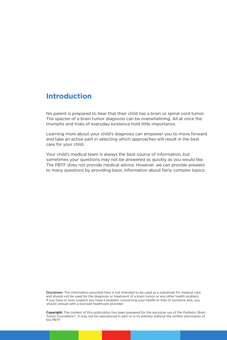# **Introduction**

No parent is prepared to hear that their child has a brain or spinal cord tumor. The specter of a brain tumor diagnosis can be overwhelming. All at once the triumphs and trials of everyday existence hold little importance.

Learning more about your child's diagnosis can empower you to move forward and take an active part in selecting which approaches will result in the best care for your child.

Your child's medical team is always the best source of information, but sometimes your questions may not be answered as quickly as you would like. The PBTF does not provide medical advice. However, we can provide answers to many questions by providing basic information about fairly complex topics.

Disclaimer: The information provided here is not intended to be used as a substitute for medical care and should not be used for the diagnosis or treatment of a brain tumor or any other health problem. If you have or even suspect you have a problem concerning your health or that of someone else, you should consult with a licensed healthcare provider.

**Copyright:** The content of this publication has been prepared for the exclusive use of the Pediatric Brain Tumor Foundation®. It may not be reproduced in part or in its entirety without the written permission of the PBTF.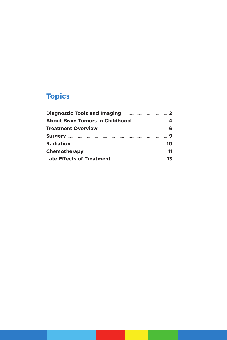# **Topics**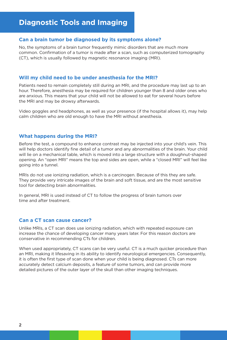# **Diagnostic Tools and Imaging**

# **Can a brain tumor be diagnosed by its symptoms alone?**

No, the symptoms of a brain tumor frequently mimic disorders that are much more common. Confirmation of a tumor is made after a scan, such as computerized tomography (CT), which is usually followed by magnetic resonance imaging (MRI).

#### **Will my child need to be under anesthesia for the MRI?**

Patients need to remain completely still during an MRI, and the procedure may last up to an hour. Therefore, anesthesia may be required for children younger than 8 and older ones who are anxious. This means that your child will not be allowed to eat for several hours before the MRI and may be drowsy afterwards.

Video goggles and headphones, as well as your presence (if the hospital allows it), may help calm children who are old enough to have the MRI without anesthesia.

#### **What happens during the MRI?**

Before the test, a compound to enhance contrast may be injected into your child's vein. This will help doctors identify fine detail of a tumor and any abnormalities of the brain. Your child will lie on a mechanical table, which is moved into a large structure with a doughnut-shaped opening. An "open MRI" means the top and sides are open, while a "closed MRI" will feel like going into a tunnel.

MRIs do not use ionizing radiation, which is a carcinogen. Because of this they are safe. They provide very intricate images of the brain and soft tissue, and are the most sensitive tool for detecting brain abnormalities.

In general, MRI is used instead of CT to follow the progress of brain tumors over time and after treatment.

# **Can a CT scan cause cancer?**

Unlike MRIs, a CT scan does use ionizing radiation, which with repeated exposure can increase the chance of developing cancer many years later. For this reason doctors are conservative in recommending CTs for children.

When used appropriately, CT scans can be very useful. CT is a much quicker procedure than an MRI, making it lifesaving in its ability to identify neurological emergencies. Consequently, it is often the first type of scan done when your child is being diagnosed. CTs can more accurately detect calcium deposits, a feature of some tumors, and can provide more detailed pictures of the outer layer of the skull than other imaging techniques.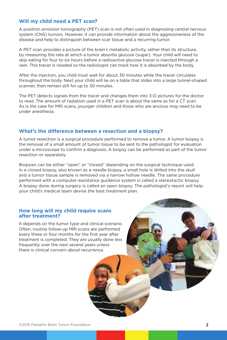# **Will my child need a PET scan?**

A positron emission tomography (PET) scan is not often used in diagnosing central nervous system (CNS) tumors. However, it can provide information about the aggressiveness of the disease and help to distinguish between scar tissue and a recurring tumor.

A PET scan provides a picture of the brain's metabolic activity, rather than its structure, by measuring the rate at which a tumor absorbs glucose (sugar). Your child will need to skip eating for four to six hours before a radioactive glucose tracer is injected through a vein. This tracer is needed so the radiologist can track how it is absorbed by the body.

After the injection, you child must wait for about 30 minutes while the tracer circulates throughout the body. Next your child will lie on a table that slides into a large tunnel-shaped scanner, then remain still for up to 30 minutes.

The PET detects signals from the tracer and changes them into 3-D pictures for the doctor to read. The amount of radiation used in a PET scan is about the same as for a CT scan. As is the case for MRI scans, younger children and those who are anxious may need to be under anesthesia.

# **What's the difference between a resection and a biopsy?**

A tumor resection is a surgical procedure performed to remove a tumor. A tumor biopsy is the removal of a small amount of tumor tissue to be sent to the pathologist for evaluation under a microscope to confirm a diagnosis. A biopsy can be performed as part of the tumor resection or separately.

Biopsies can be either "open" or "closed" depending on the surgical technique used. In a closed biopsy, also known as a needle biopsy, a small hole is drilled into the skull and a tumor tissue sample is removed via a narrow hollow needle. The same procedure performed with a computer-assistance guidance system is called a stereotactic biopsy. A biopsy done during surgery is called an open biopsy. The pathologist's report will help your child's medical team devise the best treatment plan.

#### **How long will my child require scans after treatment?**

It depends on the tumor type and clinical scenario. Often, routine follow-up MRI scans are performed every three or four months for the first year after treatment is completed. They are usually done less frequently over the next several years unless there is clinical concern about recurrence.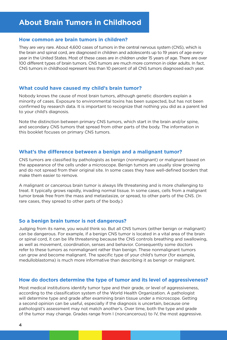# **About Brain Tumors in Childhood**

#### **How common are brain tumors in children?**

They are very rare. About 4,600 cases of tumors in the central nervous system (CNS), which is the brain and spinal cord, are diagnosed in children and adolescents up to 19 years of age every year in the United States. Most of these cases are in children under 15 years of age. There are over 100 different types of brain tumors. CNS tumors are much more common in older adults. In fact, CNS tumors in childhood represent less than 10 percent of all CNS tumors diagnosed each year.

# **What could have caused my child's brain tumor?**

Nobody knows the cause of most brain tumors, although genetic disorders explain a minority of cases. Exposure to environmental toxins has been suspected, but has not been confirmed by research data. It is important to recognize that nothing you did as a parent led to your child's diagnosis.

Note the distinction between primary CNS tumors, which start in the brain and/or spine, and secondary CNS tumors that spread from other parts of the body. The information in this booklet focuses on primary CNS tumors.

# **What's the difference between a benign and a malignant tumor?**

CNS tumors are classified by pathologists as benign (nonmalignant) or malignant based on the appearance of the cells under a microscope. Benign tumors are usually slow growing and do not spread from their original site. In some cases they have well-defined borders that make them easier to remove.

A malignant or cancerous brain tumor is always life threatening and is more challenging to treat. It typically grows rapidly, invading normal tissue. In some cases, cells from a malignant tumor break free from the mass and metastasize, or spread, to other parts of the CNS. (In rare cases, they spread to other parts of the body.)

# **So a benign brain tumor is not dangerous?**

Judging from its name, you would think so. But all CNS tumors (either benign or malignant) can be dangerous. For example, if a benign CNS tumor is located in a vital area of the brain or spinal cord, it can be life threatening because the CNS controls breathing and swallowing, as well as movement, coordination, senses and behavior. Consequently some doctors refer to these tumors as nonmalignant rather than benign. These nonmalignant tumors can grow and become malignant. The specific type of your child's tumor (for example, medulloblastoma) is much more informative than describing it as benign or malignant.

# **How do doctors determine the type of tumor and its level of aggressiveness?**

Most medical institutions identify tumor type and their grade, or level of aggressiveness, according to the classification system of the World Health Organization. A pathologist will determine type and grade after examining brain tissue under a microscope. Getting a second opinion can be useful, especially if the diagnosis is uncertain, because one pathologist's assessment may not match another's. Over time, both the type and grade of the tumor may change. Grades range from I (noncancerous) to IV, the most aggressive.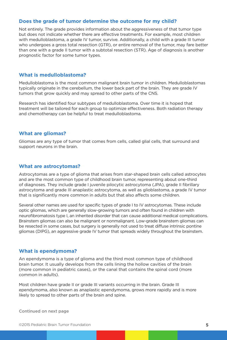# **Does the grade of tumor determine the outcome for my child?**

Not entirely. The grade provides information about the aggressiveness of that tumor type but does not indicate whether there are effective treatments. For example, most children with medulloblastoma, a grade IV tumor, survive. Additionally, a child with a grade III tumor who undergoes a gross total resection (GTR), or entire removal of the tumor, may fare better than one with a grade II tumor with a subtotal resection (STR). Age of diagnosis is another prognostic factor for some tumor types.

#### **What is medulloblastoma?**

Medulloblastoma is the most common malignant brain tumor in children. Medulloblastomas typically originate in the cerebellum, the lower back part of the brain. They are grade IV tumors that grow quickly and may spread to other parts of the CNS.

Research has identified four subtypes of medulloblastoma. Over time it is hoped that treatment will be tailored for each group to optimize effectiveness. Both radiation therapy and chemotherapy can be helpful to treat medulloblastoma.

#### **What are gliomas?**

Gliomas are any type of tumor that comes from cells, called glial cells, that surround and support neurons in the brain.

#### **What are astrocytomas?**

Astrocytomas are a type of glioma that arises from star-shaped brain cells called astrocytes and are the most common type of childhood brain tumor, representing about one-third of diagnoses. They include grade I juvenile pilocytic astrocytoma (JPA), grade II fibrillary astrocytoma and grade III anaplastic astrocytoma, as well as glioblastoma, a grade IV tumor that is significantly more common in adults but that also affects some children.

Several other names are used for specific types of grade I to IV astrocytomas. These include optic gliomas, which are generally slow-growing tumors and often found in children with neurofibromatosis type I, an inherited disorder that can cause additional medical complications. Brainstem gliomas can also be malignant or nonmalignant. Low-grade brainstem gliomas can be resected in some cases, but surgery is generally not used to treat diffuse intrinsic pontine gliomas (DIPG), an aggressive grade IV tumor that spreads widely throughout the brainstem.

# **What is ependymoma?**

An ependymoma is a type of glioma and the third most common type of childhood brain tumor. It usually develops from the cells lining the hollow cavities of the brain (more common in pediatric cases), or the canal that contains the spinal cord (more common in adults).

Most children have grade II or grade III variants occurring in the brain. Grade III ependymoma, also known as anaplastic ependymoma, grows more rapidly and is more likely to spread to other parts of the brain and spine.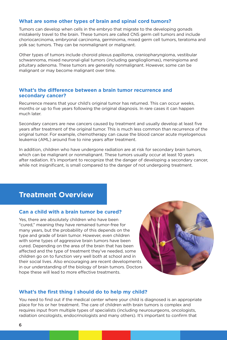# **What are some other types of brain and spinal cord tumors?**

Tumors can develop when cells in the embryo that migrate to the developing gonads mistakenly travel to the brain. These tumors are called CNS germ cell tumors and include choriocarcinoma, embryonal carcinoma, germinoma, mixed germ cell tumors, teratoma and yolk sac tumors. They can be nonmalignant or malignant.

Other types of tumors include choroid plexus papilloma, craniopharyngioma, vestibular schwannoma, mixed neuronal-glial tumors (including gangliogliomas), meningioma and pituitary adenoma. These tumors are generally nonmalignant. However, some can be malignant or may become malignant over time.

#### **What's the difference between a brain tumor recurrence and secondary cancer?**

Recurrence means that your child's original tumor has returned. This can occur weeks, months or up to five years following the original diagnosis. In rare cases it can happen much later.

Secondary cancers are new cancers caused by treatment and usually develop at least five years after treatment of the original tumor. This is much less common than recurrence of the original tumor. For example, chemotherapy can cause the blood cancer acute myelogenous leukemia (AML) around five to nine years after treatment.

In addition, children who have undergone radiation are at risk for secondary brain tumors, which can be malignant or nonmalignant. These tumors usually occur at least 10 years after radiation. It's important to recognize that the danger of developing a secondary cancer, while not insignificant, is small compared to the danger of not undergoing treatment.

# **Treatment Overview**

# **Can a child with a brain tumor be cured?**

Yes, there are absolutely children who have been "cured," meaning they have remained tumor-free for many years, but the probability of this depends on the type and grade of brain tumor. However, even children with some types of aggressive brain tumors have been cured. Depending on the area of the brain that has been affected and the type of treatment they've needed, some children go on to function very well both at school and in their social lives. Also encouraging are recent developments in our understanding of the biology of brain tumors. Doctors hope these will lead to more effective treatments.



# **What's the first thing I should do to help my child?**

You need to find out if the medical center where your child is diagnosed is an appropriate place for his or her treatment. The care of children with brain tumors is complex and requires input from multiple types of specialists (including neurosurgeons, oncologists, radiation oncologists, endocrinologists and many others). It's important to confirm that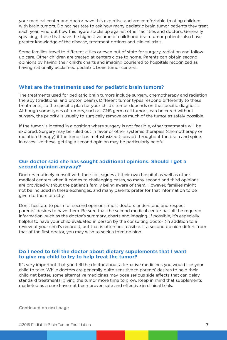your medical center and doctor have this expertise and are comfortable treating children with brain tumors. Do not hesitate to ask how many pediatric brain tumor patients they treat each year. Find out how this figure stacks up against other facilities and doctors. Generally speaking, those that have the highest volume of childhood brain tumor patients also have greater knowledge of the disease, treatment options and clinical trials.

Some families travel to different cities or even out of state for surgery, radiation and followup care. Other children are treated at centers close to home. Parents can obtain second opinions by having their child's charts and imaging couriered to hospitals recognized as having nationally acclaimed pediatric brain tumor centers.

#### **What are the treatments used for pediatric brain tumors?**

The treatments used for pediatric brain tumors include surgery, chemotherapy and radiation therapy (traditional and proton beam). Different tumor types respond differently to these treatments, so the specific plan for your child's tumor depends on the specific diagnosis. Although some types of tumors, such as CNS germ cell tumors, can be cured without surgery, the priority is usually to surgically remove as much of the tumor as safely possible.

If the tumor is located in a position where surgery is not feasible, other treatments will be explored. Surgery may be ruled out in favor of other systemic therapies (chemotherapy or radiation therapy) if the tumor has metastasized (spread) throughout the brain and spine. In cases like these, getting a second opinion may be particularly helpful.

#### **Our doctor said she has sought additional opinions. Should I get a second opinion anyway?**

Doctors routinely consult with their colleagues at their own hospital as well as other medical centers when it comes to challenging cases, so many second and third opinions are provided without the patient's family being aware of them. However, families might not be included in these exchanges, and many parents prefer for that information to be given to them directly.

Don't hesitate to push for second opinions; most doctors understand and respect parents' desires to have them. Be sure that the second medical center has all the required information, such as the doctor's summary, charts and imaging. If possible, it's especially helpful to have your child evaluated in person by the consulting doctor (in addition to a review of your child's records), but that is often not feasible. If a second opinion differs from that of the first doctor, you may wish to seek a third opinion.

#### **Do I need to tell the doctor about dietary supplements that I want to give my child to try to help treat the tumor?**

It's very important that you tell the doctor about alternative medicines you would like your child to take. While doctors are generally quite sensitive to parents' desires to help their child get better, some alternative medicines may pose serious side effects that can delay standard treatments, giving the tumor more time to grow. Keep in mind that supplements marketed as a cure have not been proven safe and effective in clinical trials.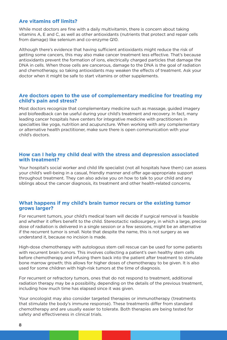# **Are vitamins off limits?**

While most doctors are fine with a daily multivitamin, there is concern about taking vitamins A, E and C, as well as other antioxidants (nutrients that protect and repair cells from damage) like selenium and co-enzyme Q10.

Although there's evidence that having sufficient antioxidants might reduce the risk of getting some cancers, this may also make cancer treatment less effective. That's because antioxidants prevent the formation of ions, electrically charged particles that damage the DNA in cells. When those cells are cancerous, damage to the DNA is the goal of radiation and chemotherapy, so taking antioxidants may weaken the effects of treatment. Ask your doctor when it might be safe to start vitamins or other supplements.

#### **Are doctors open to the use of complementary medicine for treating my child's pain and stress?**

Most doctors recognize that complementary medicine such as massage, guided imagery and biofeedback can be useful during your child's treatment and recovery. In fact, many leading cancer hospitals have centers for integrative medicine with practitioners in specialties like yoga, nutrition and acupuncture. When working with any complementary or alternative health practitioner, make sure there is open communication with your child's doctors.

### **How can I help my child deal with the stress and depression associated with treatment?**

Your hospital's social worker and child life specialist (not all hospitals have them) can assess your child's well-being in a casual, friendly manner and offer age-appropriate support throughout treatment. They can also advise you on how to talk to your child and any siblings about the cancer diagnosis, its treatment and other health-related concerns.

# **What happens if my child's brain tumor recurs or the existing tumor grows larger?**

For recurrent tumors, your child's medical team will decide if surgical removal is feasible and whether it offers benefit to the child. Stereotactic radiosurgery, in which a large, precise dose of radiation is delivered in a single session or a few sessions, might be an alternative if the recurrent tumor is small. Note that despite the name, this is not surgery as we understand it, because no incision is made.

High-dose chemotherapy with autologous stem cell rescue can be used for some patients with recurrent brain tumors. This involves collecting a patient's own healthy stem cells before chemotherapy and infusing them back into the patient after treatment to stimulate bone marrow growth; this allows for higher doses of chemotherapy to be given. It is also used for some children with high-risk tumors at the time of diagnosis.

For recurrent or refractory tumors, ones that do not respond to treatment, additional radiation therapy may be a possibility, depending on the details of the previous treatment, including how much time has elapsed since it was given.

Your oncologist may also consider targeted therapies or immunotherapy (treatments that stimulate the body's immune response). These treatments differ from standard chemotherapy and are usually easier to tolerate. Both therapies are being tested for safety and effectiveness in clinical trials.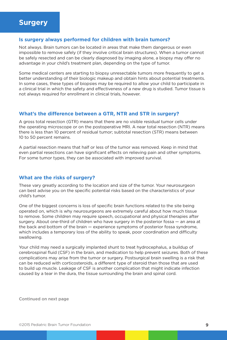#### **Is surgery always performed for children with brain tumors?**

Not always. Brain tumors can be located in areas that make them dangerous or even impossible to remove safely (if they involve critical brain structures). When a tumor cannot be safely resected and can be clearly diagnosed by imaging alone, a biopsy may offer no advantage in your child's treatment plan, depending on the type of tumor.

Some medical centers are starting to biopsy unresectable tumors more frequently to get a better understanding of their biologic makeup and obtain hints about potential treatments. In some cases, these types of biopsies may be required to allow your child to participate in a clinical trial in which the safety and effectiveness of a new drug is studied. Tumor tissue is not always required for enrollment in clinical trials, however.

#### **What's the difference between a GTR, NTR and STR in surgery?**

A gross total resection (GTR) means that there are no visible residual tumor cells under the operating microscope or on the postoperative MRI. A near total resection (NTR) means there is less than 10 percent of residual tumor; subtotal resection (STR) means between 10 to 50 percent remains.

A partial resection means that half or less of the tumor was removed. Keep in mind that even partial resections can have significant effects on relieving pain and other symptoms. For some tumor types, they can be associated with improved survival.

#### **What are the risks of surgery?**

These vary greatly according to the location and size of the tumor. Your neurosurgeon can best advise you on the specific potential risks based on the characteristics of your child's tumor.

One of the biggest concerns is loss of specific brain functions related to the site being operated on, which is why neurosurgeons are extremely careful about how much tissue to remove. Some children may require speech, occupational and physical therapies after surgery. About one-third of children who have surgery in the posterior fossa — an area at the back and bottom of the brain — experience symptoms of posterior fossa syndrome, which includes a temporary loss of the ability to speak, poor coordination and difficulty swallowing.

Your child may need a surgically implanted shunt to treat hydrocephalus, a buildup of cerebrospinal fluid (CSF) in the brain, and medication to help prevent seizures. Both of these complications may arise from the tumor or surgery. Postsurgical brain swelling is a risk that can be reduced with corticosteroids, a different type of steroid than those that are used to build up muscle. Leakage of CSF is another complication that might indicate infection caused by a tear in the dura, the tissue surrounding the brain and spinal cord.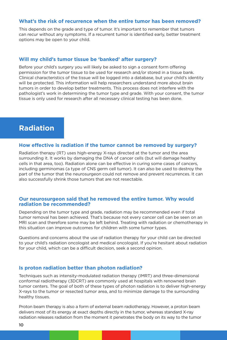#### **What's the risk of recurrence when the entire tumor has been removed?**

This depends on the grade and type of tumor. It's important to remember that tumors can recur without any symptoms. If a recurrent tumor is identified early, better treatment options may be open to your child.

# **Will my child's tumor tissue be 'banked' after surgery?**

Before your child's surgery you will likely be asked to sign a consent form offering permission for the tumor tissue to be used for research and/or stored in a tissue bank. Clinical characteristics of the tissue will be logged into a database, but your child's identity will be protected. This information will help researchers understand more about brain tumors in order to develop better treatments. This process does not interfere with the pathologist's work in determining the tumor type and grade. With your consent, the tumor tissue is only used for research after all necessary clinical testing has been done.

# **Radiation**

#### **How effective is radiation if the tumor cannot be removed by surgery?**

Radiation therapy (RT) uses high-energy X-rays directed at the tumor and the area surrounding it. It works by damaging the DNA of cancer cells (but will damage healthy cells in that area, too). Radiation alone can be effective in curing some cases of cancers, including germinomas (a type of CNS germ cell tumor). It can also be used to destroy the part of the tumor that the neurosurgeon could not remove and prevent recurrences. It can also successfully shrink those tumors that are not resectable.

#### **Our neurosurgeon said that he removed the entire tumor. Why would radiation be recommended?**

Depending on the tumor type and grade, radiation may be recommended even if total tumor removal has been achieved. That's because not every cancer cell can be seen on an MRI scan and therefore some may be left behind. Treating with radiation or chemotherapy in this situation can improve outcomes for children with some tumor types.

Questions and concerns about the use of radiation therapy for your child can be directed to your child's radiation oncologist and medical oncologist. If you're hesitant about radiation for your child, which can be a difficult decision, seek a second opinion.

#### **Is proton radiation better than photon radiation?**

Techniques such as intensity-modulated radiation therapy (IMRT) and three-dimensional conformal radiotherapy (3DCRT) are commonly used at hospitals with renowned brain tumor centers. The goal of both of these types of photon radiation is to deliver high-energy X-rays to the tumor or resected tumor area, and to minimize damage to the surrounding healthy tissues.

Proton beam therapy is also a form of external beam radiotherapy. However, a proton beam delivers most of its energy at exact depths directly in the tumor, whereas standard X-ray radiation releases radiation from the moment it penetrates the body on its way to the tumor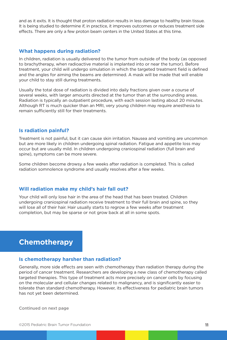and as it exits. It is thought that proton radiation results in less damage to healthy brain tissue. It is being studied to determine if, in practice, it improves outcomes or reduces treatment side effects. There are only a few proton beam centers in the United States at this time.

#### **What happens during radiation?**

In children, radiation is usually delivered to the tumor from outside of the body (as opposed to brachytherapy, when radioactive material is implanted into or near the tumor). Before treatment, your child will undergo simulation in which the targeted treatment field is defined and the angles for aiming the beams are determined. A mask will be made that will enable your child to stay still during treatments.

Usually the total dose of radiation is divided into daily fractions given over a course of several weeks, with larger amounts directed at the tumor than at the surrounding areas. Radiation is typically an outpatient procedure, with each session lasting about 20 minutes. Although RT is much quicker than an MRI, very young children may require anesthesia to remain sufficiently still for their treatments.

#### **Is radiation painful?**

Treatment is not painful, but it can cause skin irritation. Nausea and vomiting are uncommon but are more likely in children undergoing spinal radiation. Fatigue and appetite loss may occur but are usually mild. In children undergoing craniospinal radiation (full brain and spine), symptoms can be more severe.

Some children become drowsy a few weeks after radiation is completed. This is called radiation somnolence syndrome and usually resolves after a few weeks.

#### **Will radiation make my child's hair fall out?**

Your child will only lose hair in the area of the head that has been treated. Children undergoing craniospinal radiation receive treatment to their full brain and spine, so they will lose all of their hair. Hair usually starts to regrow a few weeks after treatment completion, but may be sparse or not grow back at all in some spots.

# **Chemotherapy**

#### **Is chemotherapy harsher than radiation?**

Generally, more side effects are seen with chemotherapy than radiation therapy during the period of cancer treatment. Researchers are developing a new class of chemotherapy called targeted therapies. This type of treatment acts more precisely on cancer cells by focusing on the molecular and cellular changes related to malignancy, and is significantly easier to tolerate than standard chemotherapy. However, its effectiveness for pediatric brain tumors has not yet been determined.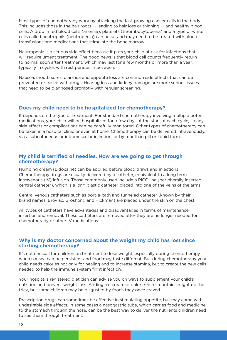Most types of chemotherapy work by attacking the fast-growing cancer cells in the body. This includes those in the hair roots — leading to hair loss or thinning — and healthy blood cells. A drop in red blood cells (anemia), platelets (thrombocytopenia) and a type of white cells called neutrophils (neutropenia) can occur and may need to be treated with blood transfusions and medications that stimulate the bone marrow.

Neutropenia is a serious side effect because it puts your child at risk for infections that will require urgent treatment. The good news is that blood cell counts frequently return to normal soon after treatment, which may last for a few months or more than a year, typically in cycles with rest periods in between.

Nausea, mouth sores, diarrhea and appetite loss are common side effects that can be prevented or eased with drugs. Hearing loss and kidney damage are more serious issues that need to be diagnosed promptly with regular screening.

# **Does my child need to be hospitalized for chemotherapy?**

It depends on the type of treatment. For standard chemotherapy involving multiple potent medications, your child will be hospitalized for a few days at the start of each cycle, so any side effects or complications can be carefully monitored. Other types of chemotherapy can be taken in a hospital clinic or even at home. Chemotherapy can be delivered intravenously, via a subcutaneous or intramuscular injection, or by mouth in pill or liquid form.

# **My child is terrified of needles. How are we going to get through chemotherapy?**

Numbing cream (Lidocaine) can be applied before blood draws and injections. Chemotherapy drugs are usually delivered by a catheter, equivalent to a long term intravenous (IV) infusion. Those commonly used include a PICC line (peripherally inserted central catheter), which is a long plastic catheter placed into one of the veins of the arms.

Central venous catheters such as port-a-cath and tunneled catheter (known by their brand names: Broviac, Groshong and Hickman) are placed under the skin on the chest.

All types of catheters have advantages and disadvantages in terms of maintenance, insertion and removal. These catheters are removed after they are no longer needed for chemotherapy or other IV medications.

# **Why is my doctor concerned about the weight my child has lost since starting chemotherapy?**

It's not unusual for children on treatment to lose weight, especially during chemotherapy when nausea can be persistent and food may taste different. But during chemotherapy your child needs calories not only for healing and to increase stamina, but to create the new cells needed to help the immune system fight infection.

Your hospital's registered dietician can advise you on ways to supplement your child's nutrition and prevent weight loss. Adding ice cream or calorie-rich smoothies might do the trick, but some children may be disgusted by foods they once craved.

Prescription drugs can sometimes be effective in stimulating appetite, but may come with undesirable side effects. In some cases a nasogastric tube, which carries food and medicine to the stomach through the nose, can be the best way to deliver the nutrients children need to see them through treatment.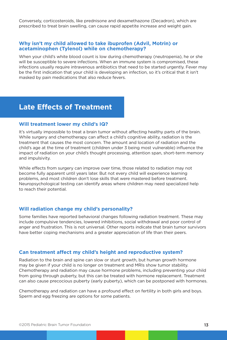Conversely, corticosteroids, like prednisone and dexamethazone (Decadron), which are prescribed to treat brain swelling, can cause rapid appetite increase and weight gain.

#### **Why isn't my child allowed to take ibuprofen (Advil, Motrin) or acetaminophen (Tylenol) while on chemotherapy?**

When your child's white blood count is low during chemotherapy (neutropenia), he or she will be susceptible to severe infections. When an immune system is compromised, these infections usually require intravenous antibiotics that need to be started urgently. Fever may be the first indication that your child is developing an infection, so it's critical that it isn't masked by pain medications that also reduce fevers.

# **Late Effects of Treatment**

#### **Will treatment lower my child's IQ?**

It's virtually impossible to treat a brain tumor without affecting healthy parts of the brain. While surgery and chemotherapy can affect a child's cognitive ability, radiation is the treatment that causes the most concern. The amount and location of radiation and the child's age at the time of treatment (children under 3 being most vulnerable) influence the impact of radiation on your child's thought processing, attention span, short-term memory and impulsivity.

While effects from surgery can improve over time, those related to radiation may not become fully apparent until years later. But not every child will experience learning problems, and most children don't lose skills that were mastered before treatment. Neuropsychological testing can identify areas where children may need specialized help to reach their potential.

#### **Will radiation change my child's personality?**

Some families have reported behavioral changes following radiation treatment. These may include compulsive tendencies, lowered inhibitions, social withdrawal and poor control of anger and frustration. This is not universal. Other reports indicate that brain tumor survivors have better coping mechanisms and a greater appreciation of life than their peers.

#### **Can treatment affect my child's height and reproductive system?**

Radiation to the brain and spine can slow or stunt growth, but human growth hormone may be given if your child is no longer on treatment and MRIs show tumor stability. Chemotherapy and radiation may cause hormone problems, including preventing your child from going through puberty, but this can be treated with hormone replacement. Treatment can also cause precocious puberty (early puberty), which can be postponed with hormones.

Chemotherapy and radiation can have a profound effect on fertility in both girls and boys. Sperm and egg freezing are options for some patients.